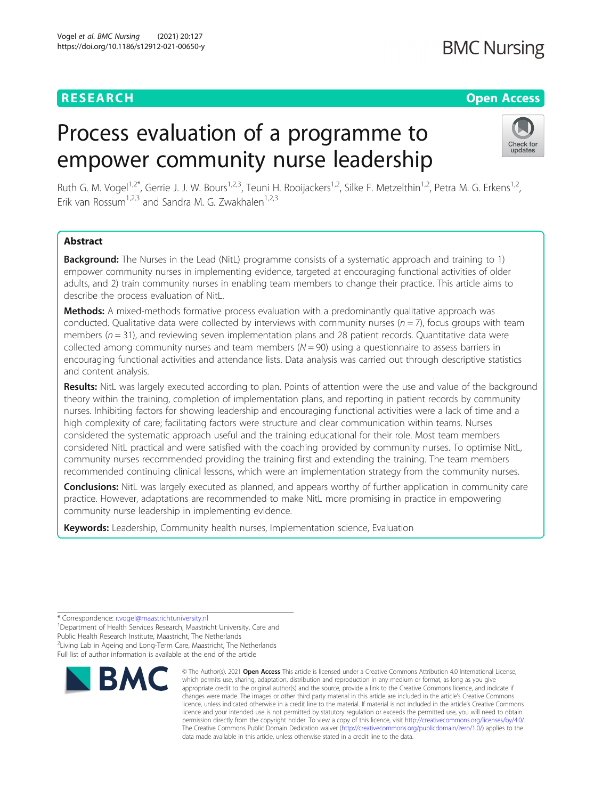## **RESEARCH CHEAR CHEAR CHEAR CHEAR CHEAR CHEAR CHEAR CHEAR CHEAR CHEAR CHEAR CHEAR CHEAR CHEAR CHEAR CHEAR CHEAR**

# Process evaluation of a programme to empower community nurse leadership



Ruth G. M. Vogel<sup>1,2\*</sup>, Gerrie J. J. W. Bours<sup>1,2,3</sup>, Teuni H. Rooijackers<sup>1,2</sup>, Silke F. Metzelthin<sup>1,2</sup>, Petra M. G. Erkens<sup>1,2</sup>, Erik van Rossum<sup>1,2,3</sup> and Sandra M. G. Zwakhalen<sup>1,2,3</sup>

## Abstract

**Background:** The Nurses in the Lead (NitL) programme consists of a systematic approach and training to 1) empower community nurses in implementing evidence, targeted at encouraging functional activities of older adults, and 2) train community nurses in enabling team members to change their practice. This article aims to describe the process evaluation of NitL.

Methods: A mixed-methods formative process evaluation with a predominantly qualitative approach was conducted. Qualitative data were collected by interviews with community nurses ( $n = 7$ ), focus groups with team members ( $n = 31$ ), and reviewing seven implementation plans and 28 patient records. Quantitative data were collected among community nurses and team members  $(N = 90)$  using a questionnaire to assess barriers in encouraging functional activities and attendance lists. Data analysis was carried out through descriptive statistics and content analysis.

Results: NitL was largely executed according to plan. Points of attention were the use and value of the background theory within the training, completion of implementation plans, and reporting in patient records by community nurses. Inhibiting factors for showing leadership and encouraging functional activities were a lack of time and a high complexity of care; facilitating factors were structure and clear communication within teams. Nurses considered the systematic approach useful and the training educational for their role. Most team members considered NitL practical and were satisfied with the coaching provided by community nurses. To optimise NitL, community nurses recommended providing the training first and extending the training. The team members recommended continuing clinical lessons, which were an implementation strategy from the community nurses.

**Conclusions:** NitL was largely executed as planned, and appears worthy of further application in community care practice. However, adaptations are recommended to make NitL more promising in practice in empowering community nurse leadership in implementing evidence.

Keywords: Leadership, Community health nurses, Implementation science, Evaluation

<sup>&</sup>lt;sup>1</sup>Department of Health Services Research, Maastricht University, Care and Public Health Research Institute, Maastricht, The Netherlands <sup>2</sup> Living Lab in Ageing and Long-Term Care, Maastricht, The Netherlands Full list of author information is available at the end of the article



<sup>©</sup> The Author(s), 2021 **Open Access** This article is licensed under a Creative Commons Attribution 4.0 International License, which permits use, sharing, adaptation, distribution and reproduction in any medium or format, as long as you give appropriate credit to the original author(s) and the source, provide a link to the Creative Commons licence, and indicate if changes were made. The images or other third party material in this article are included in the article's Creative Commons licence, unless indicated otherwise in a credit line to the material. If material is not included in the article's Creative Commons licence and your intended use is not permitted by statutory regulation or exceeds the permitted use, you will need to obtain permission directly from the copyright holder. To view a copy of this licence, visit [http://creativecommons.org/licenses/by/4.0/.](http://creativecommons.org/licenses/by/4.0/) The Creative Commons Public Domain Dedication waiver [\(http://creativecommons.org/publicdomain/zero/1.0/](http://creativecommons.org/publicdomain/zero/1.0/)) applies to the data made available in this article, unless otherwise stated in a credit line to the data.

<sup>\*</sup> Correspondence: [r.vogel@maastrichtuniversity.nl](mailto:r.vogel@maastrichtuniversity.nl) <sup>1</sup>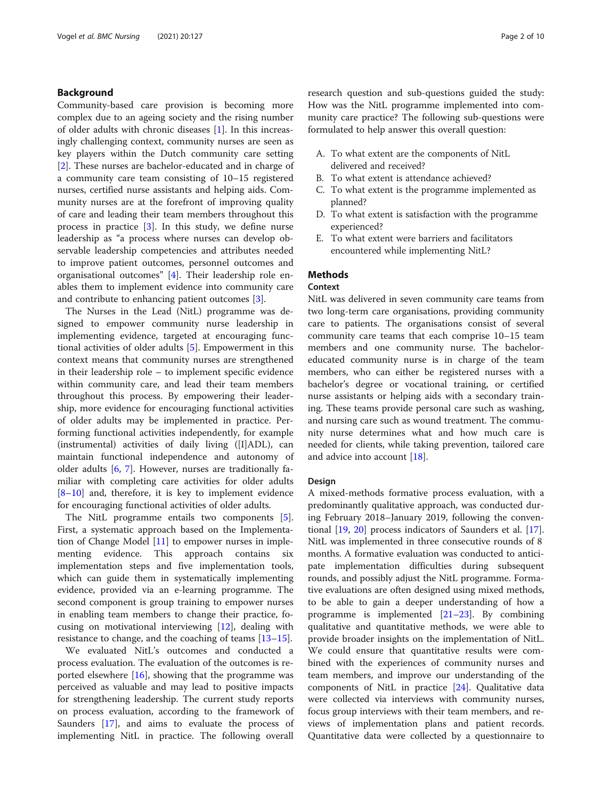## Background

Community-based care provision is becoming more complex due to an ageing society and the rising number of older adults with chronic diseases [[1](#page-8-0)]. In this increasingly challenging context, community nurses are seen as key players within the Dutch community care setting [[2\]](#page-8-0). These nurses are bachelor-educated and in charge of a community care team consisting of 10–15 registered nurses, certified nurse assistants and helping aids. Community nurses are at the forefront of improving quality of care and leading their team members throughout this process in practice [[3\]](#page-8-0). In this study, we define nurse leadership as "a process where nurses can develop observable leadership competencies and attributes needed to improve patient outcomes, personnel outcomes and organisational outcomes" [\[4](#page-8-0)]. Their leadership role enables them to implement evidence into community care and contribute to enhancing patient outcomes [[3\]](#page-8-0).

The Nurses in the Lead (NitL) programme was designed to empower community nurse leadership in implementing evidence, targeted at encouraging functional activities of older adults [[5\]](#page-8-0). Empowerment in this context means that community nurses are strengthened in their leadership role – to implement specific evidence within community care, and lead their team members throughout this process. By empowering their leadership, more evidence for encouraging functional activities of older adults may be implemented in practice. Performing functional activities independently, for example (instrumental) activities of daily living ([I]ADL), can maintain functional independence and autonomy of older adults  $[6, 7]$  $[6, 7]$  $[6, 7]$  $[6, 7]$ . However, nurses are traditionally familiar with completing care activities for older adults [[8](#page-8-0)–[10\]](#page-8-0) and, therefore, it is key to implement evidence for encouraging functional activities of older adults.

The NitL programme entails two components [\[5](#page-8-0)]. First, a systematic approach based on the Implementation of Change Model [\[11](#page-8-0)] to empower nurses in implementing evidence. This approach contains six implementation steps and five implementation tools, which can guide them in systematically implementing evidence, provided via an e-learning programme. The second component is group training to empower nurses in enabling team members to change their practice, focusing on motivational interviewing [\[12\]](#page-8-0), dealing with resistance to change, and the coaching of teams [[13](#page-8-0)–[15](#page-8-0)].

We evaluated NitL's outcomes and conducted a process evaluation. The evaluation of the outcomes is reported elsewhere [\[16](#page-8-0)], showing that the programme was perceived as valuable and may lead to positive impacts for strengthening leadership. The current study reports on process evaluation, according to the framework of Saunders [[17](#page-8-0)], and aims to evaluate the process of implementing NitL in practice. The following overall research question and sub-questions guided the study: How was the NitL programme implemented into community care practice? The following sub-questions were formulated to help answer this overall question:

- A. To what extent are the components of NitL delivered and received?
- B. To what extent is attendance achieved?
- C. To what extent is the programme implemented as planned?
- D. To what extent is satisfaction with the programme experienced?
- E. To what extent were barriers and facilitators encountered while implementing NitL?

## **Methods**

## Context

NitL was delivered in seven community care teams from two long-term care organisations, providing community care to patients. The organisations consist of several community care teams that each comprise 10–15 team members and one community nurse. The bacheloreducated community nurse is in charge of the team members, who can either be registered nurses with a bachelor's degree or vocational training, or certified nurse assistants or helping aids with a secondary training. These teams provide personal care such as washing, and nursing care such as wound treatment. The community nurse determines what and how much care is needed for clients, while taking prevention, tailored care and advice into account [[18](#page-8-0)].

## Design

A mixed-methods formative process evaluation, with a predominantly qualitative approach, was conducted during February 2018–January 2019, following the conventional [[19](#page-8-0), [20\]](#page-9-0) process indicators of Saunders et al. [\[17](#page-8-0)]. NitL was implemented in three consecutive rounds of 8 months. A formative evaluation was conducted to anticipate implementation difficulties during subsequent rounds, and possibly adjust the NitL programme. Formative evaluations are often designed using mixed methods, to be able to gain a deeper understanding of how a programme is implemented [[21](#page-9-0)–[23](#page-9-0)]. By combining qualitative and quantitative methods, we were able to provide broader insights on the implementation of NitL. We could ensure that quantitative results were combined with the experiences of community nurses and team members, and improve our understanding of the components of NitL in practice [\[24\]](#page-9-0). Qualitative data were collected via interviews with community nurses, focus group interviews with their team members, and reviews of implementation plans and patient records. Quantitative data were collected by a questionnaire to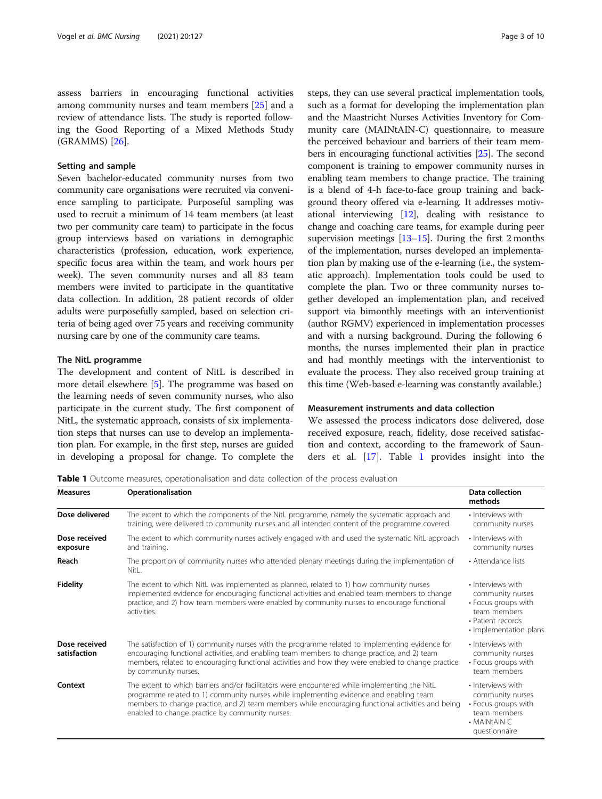assess barriers in encouraging functional activities among community nurses and team members [[25\]](#page-9-0) and a review of attendance lists. The study is reported following the Good Reporting of a Mixed Methods Study (GRAMMS) [[26](#page-9-0)].

## Setting and sample

Seven bachelor-educated community nurses from two community care organisations were recruited via convenience sampling to participate. Purposeful sampling was used to recruit a minimum of 14 team members (at least two per community care team) to participate in the focus group interviews based on variations in demographic characteristics (profession, education, work experience, specific focus area within the team, and work hours per week). The seven community nurses and all 83 team members were invited to participate in the quantitative data collection. In addition, 28 patient records of older adults were purposefully sampled, based on selection criteria of being aged over 75 years and receiving community nursing care by one of the community care teams.

## The NitL programme

The development and content of NitL is described in more detail elsewhere [\[5](#page-8-0)]. The programme was based on the learning needs of seven community nurses, who also participate in the current study. The first component of NitL, the systematic approach, consists of six implementation steps that nurses can use to develop an implementation plan. For example, in the first step, nurses are guided in developing a proposal for change. To complete the steps, they can use several practical implementation tools, such as a format for developing the implementation plan and the Maastricht Nurses Activities Inventory for Community care (MAINtAIN-C) questionnaire, to measure the perceived behaviour and barriers of their team members in encouraging functional activities [\[25\]](#page-9-0). The second component is training to empower community nurses in enabling team members to change practice. The training is a blend of 4-h face-to-face group training and background theory offered via e-learning. It addresses motivational interviewing [\[12](#page-8-0)], dealing with resistance to change and coaching care teams, for example during peer supervision meetings [[13](#page-8-0)–[15\]](#page-8-0). During the first 2 months of the implementation, nurses developed an implementation plan by making use of the e-learning (i.e., the systematic approach). Implementation tools could be used to complete the plan. Two or three community nurses together developed an implementation plan, and received support via bimonthly meetings with an interventionist (author RGMV) experienced in implementation processes and with a nursing background. During the following 6 months, the nurses implemented their plan in practice and had monthly meetings with the interventionist to evaluate the process. They also received group training at this time (Web-based e-learning was constantly available.)

## Measurement instruments and data collection

We assessed the process indicators dose delivered, dose received exposure, reach, fidelity, dose received satisfaction and context, according to the framework of Saunders et al. [[17](#page-8-0)]. Table 1 provides insight into the

Table 1 Outcome measures, operationalisation and data collection of the process evaluation

| <b>Measures</b>               | Operationalisation                                                                                                                                                                                                                                                                                                                              | Data collection<br>methods                                                                                                  |  |
|-------------------------------|-------------------------------------------------------------------------------------------------------------------------------------------------------------------------------------------------------------------------------------------------------------------------------------------------------------------------------------------------|-----------------------------------------------------------------------------------------------------------------------------|--|
| Dose delivered                | The extent to which the components of the NitL programme, namely the systematic approach and<br>training, were delivered to community nurses and all intended content of the programme covered.                                                                                                                                                 |                                                                                                                             |  |
| Dose received<br>exposure     | The extent to which community nurses actively engaged with and used the systematic NitL approach<br>and training.                                                                                                                                                                                                                               | • Interviews with<br>community nurses                                                                                       |  |
| Reach                         | The proportion of community nurses who attended plenary meetings during the implementation of<br>NitL.                                                                                                                                                                                                                                          | • Attendance lists                                                                                                          |  |
| <b>Fidelity</b>               | The extent to which NitL was implemented as planned, related to 1) how community nurses<br>implemented evidence for encouraging functional activities and enabled team members to change<br>practice, and 2) how team members were enabled by community nurses to encourage functional<br>activities.                                           | • Interviews with<br>community nurses<br>• Focus groups with<br>team members<br>• Patient records<br>· Implementation plans |  |
| Dose received<br>satisfaction | The satisfaction of 1) community nurses with the programme related to implementing evidence for<br>encouraging functional activities, and enabling team members to change practice, and 2) team<br>members, related to encouraging functional activities and how they were enabled to change practice<br>by community nurses.                   | · Interviews with<br>community nurses<br>• Focus groups with<br>team members                                                |  |
| Context                       | The extent to which barriers and/or facilitators were encountered while implementing the NitL<br>programme related to 1) community nurses while implementing evidence and enabling team<br>members to change practice, and 2) team members while encouraging functional activities and being<br>enabled to change practice by community nurses. | • Interviews with<br>community nurses<br>• Focus groups with<br>team members<br>• MAINtAIN-C<br>questionnaire               |  |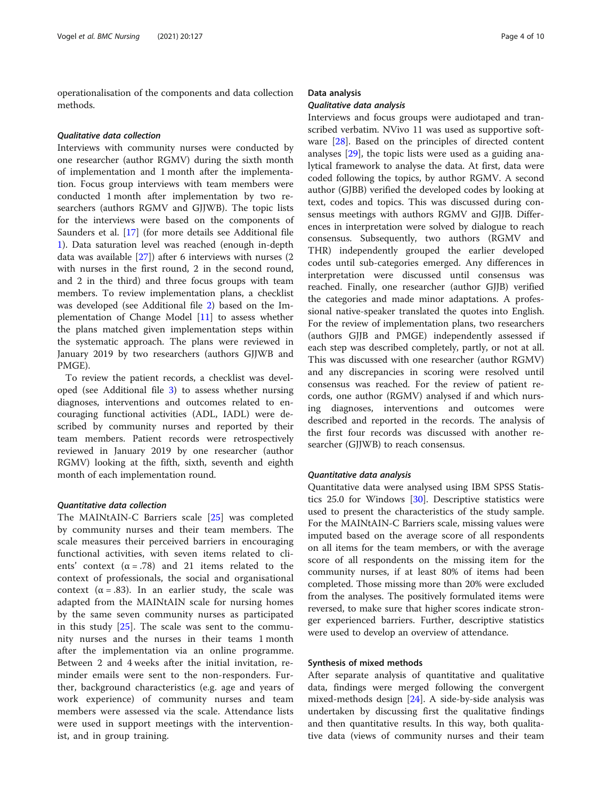operationalisation of the components and data collection methods.

## Qualitative data collection

Interviews with community nurses were conducted by one researcher (author RGMV) during the sixth month of implementation and 1 month after the implementation. Focus group interviews with team members were conducted 1 month after implementation by two researchers (authors RGMV and GJJWB). The topic lists for the interviews were based on the components of Saunders et al. [[17\]](#page-8-0) (for more details see Additional file [1\)](#page-8-0). Data saturation level was reached (enough in-depth data was available [\[27\]](#page-9-0)) after 6 interviews with nurses (2 with nurses in the first round, 2 in the second round, and 2 in the third) and three focus groups with team members. To review implementation plans, a checklist was developed (see Additional file [2\)](#page-8-0) based on the Implementation of Change Model  $[11]$  to assess whether the plans matched given implementation steps within the systematic approach. The plans were reviewed in January 2019 by two researchers (authors GJJWB and PMGE).

To review the patient records, a checklist was developed (see Additional file [3](#page-8-0)) to assess whether nursing diagnoses, interventions and outcomes related to encouraging functional activities (ADL, IADL) were described by community nurses and reported by their team members. Patient records were retrospectively reviewed in January 2019 by one researcher (author RGMV) looking at the fifth, sixth, seventh and eighth month of each implementation round.

## Quantitative data collection

The MAINtAIN-C Barriers scale [\[25](#page-9-0)] was completed by community nurses and their team members. The scale measures their perceived barriers in encouraging functional activities, with seven items related to clients' context  $(\alpha = .78)$  and 21 items related to the context of professionals, the social and organisational context ( $\alpha = .83$ ). In an earlier study, the scale was adapted from the MAINtAIN scale for nursing homes by the same seven community nurses as participated in this study [[25\]](#page-9-0). The scale was sent to the community nurses and the nurses in their teams 1 month after the implementation via an online programme. Between 2 and 4 weeks after the initial invitation, reminder emails were sent to the non-responders. Further, background characteristics (e.g. age and years of work experience) of community nurses and team members were assessed via the scale. Attendance lists were used in support meetings with the interventionist, and in group training.

## Data analysis

### Qualitative data analysis

Interviews and focus groups were audiotaped and transcribed verbatim. NVivo 11 was used as supportive software [[28\]](#page-9-0). Based on the principles of directed content analyses [\[29](#page-9-0)], the topic lists were used as a guiding analytical framework to analyse the data. At first, data were coded following the topics, by author RGMV. A second author (GJBB) verified the developed codes by looking at text, codes and topics. This was discussed during consensus meetings with authors RGMV and GJJB. Differences in interpretation were solved by dialogue to reach consensus. Subsequently, two authors (RGMV and THR) independently grouped the earlier developed codes until sub-categories emerged. Any differences in interpretation were discussed until consensus was reached. Finally, one researcher (author GJJB) verified the categories and made minor adaptations. A professional native-speaker translated the quotes into English. For the review of implementation plans, two researchers (authors GJJB and PMGE) independently assessed if each step was described completely, partly, or not at all. This was discussed with one researcher (author RGMV) and any discrepancies in scoring were resolved until consensus was reached. For the review of patient records, one author (RGMV) analysed if and which nursing diagnoses, interventions and outcomes were described and reported in the records. The analysis of the first four records was discussed with another researcher (GJJWB) to reach consensus.

## Quantitative data analysis

Quantitative data were analysed using IBM SPSS Statistics 25.0 for Windows [[30\]](#page-9-0). Descriptive statistics were used to present the characteristics of the study sample. For the MAINtAIN-C Barriers scale, missing values were imputed based on the average score of all respondents on all items for the team members, or with the average score of all respondents on the missing item for the community nurses, if at least 80% of items had been completed. Those missing more than 20% were excluded from the analyses. The positively formulated items were reversed, to make sure that higher scores indicate stronger experienced barriers. Further, descriptive statistics were used to develop an overview of attendance.

### Synthesis of mixed methods

After separate analysis of quantitative and qualitative data, findings were merged following the convergent mixed-methods design [[24\]](#page-9-0). A side-by-side analysis was undertaken by discussing first the qualitative findings and then quantitative results. In this way, both qualitative data (views of community nurses and their team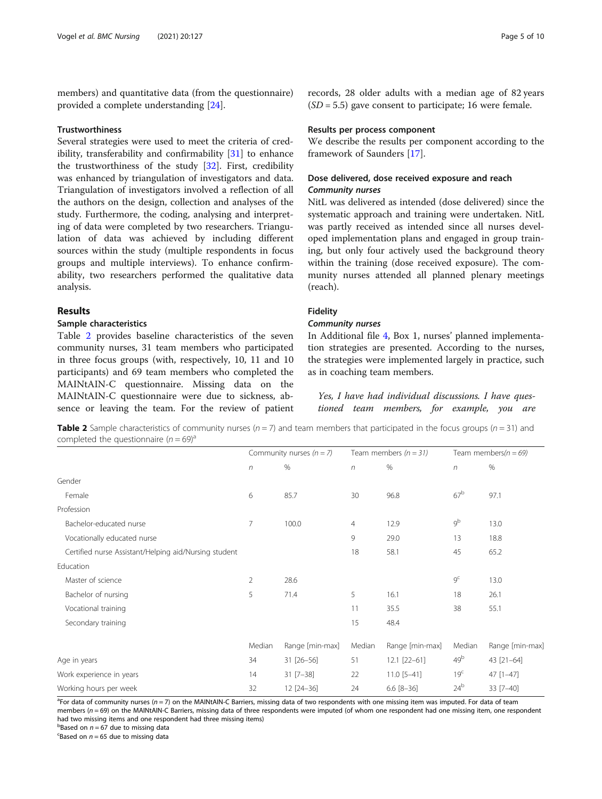members) and quantitative data (from the questionnaire) provided a complete understanding [\[24\]](#page-9-0).

## **Trustworthiness**

Several strategies were used to meet the criteria of credibility, transferability and confirmability [\[31\]](#page-9-0) to enhance the trustworthiness of the study [\[32](#page-9-0)]. First, credibility was enhanced by triangulation of investigators and data. Triangulation of investigators involved a reflection of all the authors on the design, collection and analyses of the study. Furthermore, the coding, analysing and interpreting of data were completed by two researchers. Triangulation of data was achieved by including different sources within the study (multiple respondents in focus groups and multiple interviews). To enhance confirmability, two researchers performed the qualitative data analysis.

## Results

## Sample characteristics

Table 2 provides baseline characteristics of the seven community nurses, 31 team members who participated in three focus groups (with, respectively, 10, 11 and 10 participants) and 69 team members who completed the MAINtAIN-C questionnaire. Missing data on the MAINtAIN-C questionnaire were due to sickness, absence or leaving the team. For the review of patient

## Results per process component

We describe the results per component according to the framework of Saunders [[17\]](#page-8-0).

## Dose delivered, dose received exposure and reach Community nurses

NitL was delivered as intended (dose delivered) since the systematic approach and training were undertaken. NitL was partly received as intended since all nurses developed implementation plans and engaged in group training, but only four actively used the background theory within the training (dose received exposure). The community nurses attended all planned plenary meetings (reach).

## Fidelity

## Community nurses

In Additional file [4,](#page-8-0) Box 1, nurses' planned implementation strategies are presented. According to the nurses, the strategies were implemented largely in practice, such as in coaching team members.

Yes, I have had individual discussions. I have questioned team members, for example, you are

**Table 2** Sample characteristics of community nurses ( $n = 7$ ) and team members that participated in the focus groups ( $n = 31$ ) and completed the questionnaire  $(n = 69)^{a}$ 

|                                                       | Community nurses $(n = 7)$ |                 | Team members $(n = 31)$ |                  | Team members( $n = 69$ ) |                 |
|-------------------------------------------------------|----------------------------|-----------------|-------------------------|------------------|--------------------------|-----------------|
|                                                       | $\eta$                     | $\%$            | $\sqrt{n}$              | $\%$             | $\sqrt{n}$               | $\%$            |
| Gender                                                |                            |                 |                         |                  |                          |                 |
| Female                                                | 6                          | 85.7            | 30                      | 96.8             | 67 <sup>b</sup>          | 97.1            |
| Profession                                            |                            |                 |                         |                  |                          |                 |
| Bachelor-educated nurse                               | $\overline{7}$             | 100.0           | $\overline{4}$          | 12.9             | $9^b$                    | 13.0            |
| Vocationally educated nurse                           |                            |                 | 9                       | 29.0             | 13                       | 18.8            |
| Certified nurse Assistant/Helping aid/Nursing student |                            |                 | 18                      | 58.1             | 45                       | 65.2            |
| Education                                             |                            |                 |                         |                  |                          |                 |
| Master of science                                     | 2                          | 28.6            |                         |                  | 9 <sup>c</sup>           | 13.0            |
| Bachelor of nursing                                   | 5                          | 71.4            | 5                       | 16.1             | 18                       | 26.1            |
| Vocational training                                   |                            |                 | 11                      | 35.5             | 38                       | 55.1            |
| Secondary training                                    |                            |                 | 15                      | 48.4             |                          |                 |
|                                                       | Median                     | Range [min-max] | Median                  | Range [min-max]  | Median                   | Range [min-max] |
| Age in years                                          | 34                         | 31 [26-56]      | 51                      | $12.1$ $[22-61]$ | 49 <sup>b</sup>          | 43 [21-64]      |
| Work experience in years                              | 14                         | $31$ [7-38]     | 22                      | $11.0$ [5-41]    | 19 <sup>c</sup>          | $47$ [1-47]     |
| Working hours per week                                | 32                         | 12 [24-36]      | 24                      | $6.6 [8 - 36]$   | 24 <sup>b</sup>          | 33 [7-40]       |

<sup>a</sup> For data of community nurses (n = 7) on the MAINtAIN-C Barriers, missing data of two respondents with one missing item was imputed. For data of team<br>members (n = 69) on the MAINtAIN-C Barriers, missing data of three r members (n = 69) on the MAINtAIN-C Barriers, missing data of three respondents were imputed (of whom one respondent had one missing item, one respondent had two missing items and one respondent had three missing items)

b<br>Based on  $n = 67$  due to missing data<br>ERased on  $n = 65$  due to missing data

Eased on  $n = 65$  due to missing data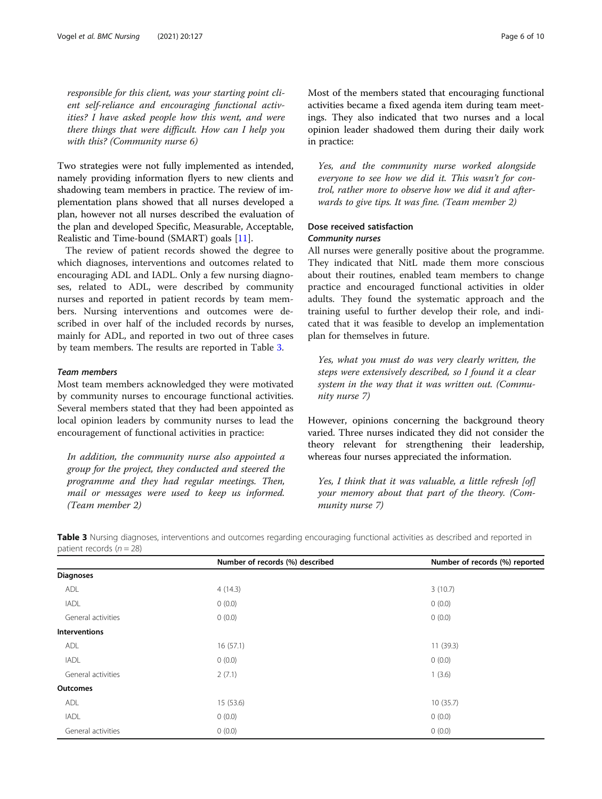responsible for this client, was your starting point client self-reliance and encouraging functional activities? I have asked people how this went, and were there things that were difficult. How can I help you with this? (Community nurse 6)

Two strategies were not fully implemented as intended, namely providing information flyers to new clients and shadowing team members in practice. The review of implementation plans showed that all nurses developed a plan, however not all nurses described the evaluation of the plan and developed Specific, Measurable, Acceptable, Realistic and Time-bound (SMART) goals [\[11](#page-8-0)].

The review of patient records showed the degree to which diagnoses, interventions and outcomes related to encouraging ADL and IADL. Only a few nursing diagnoses, related to ADL, were described by community nurses and reported in patient records by team members. Nursing interventions and outcomes were described in over half of the included records by nurses, mainly for ADL, and reported in two out of three cases by team members. The results are reported in Table 3.

## Team members

Most team members acknowledged they were motivated by community nurses to encourage functional activities. Several members stated that they had been appointed as local opinion leaders by community nurses to lead the encouragement of functional activities in practice:

In addition, the community nurse also appointed a group for the project, they conducted and steered the programme and they had regular meetings. Then, mail or messages were used to keep us informed. (Team member 2)

Most of the members stated that encouraging functional activities became a fixed agenda item during team meetings. They also indicated that two nurses and a local opinion leader shadowed them during their daily work in practice:

Yes, and the community nurse worked alongside everyone to see how we did it. This wasn't for control, rather more to observe how we did it and afterwards to give tips. It was fine. (Team member 2)

## Dose received satisfaction Community nurses

All nurses were generally positive about the programme. They indicated that NitL made them more conscious about their routines, enabled team members to change practice and encouraged functional activities in older adults. They found the systematic approach and the training useful to further develop their role, and indicated that it was feasible to develop an implementation plan for themselves in future.

Yes, what you must do was very clearly written, the steps were extensively described, so I found it a clear system in the way that it was written out. (Community nurse 7)

However, opinions concerning the background theory varied. Three nurses indicated they did not consider the theory relevant for strengthening their leadership, whereas four nurses appreciated the information.

Yes, I think that it was valuable, a little refresh [of] your memory about that part of the theory. (Community nurse 7)

|                      | Number of records (%) described | Number of records (%) reported |
|----------------------|---------------------------------|--------------------------------|
| <b>Diagnoses</b>     |                                 |                                |
| ADL                  | 4(14.3)                         | 3(10.7)                        |
| <b>IADL</b>          | 0(0.0)                          | 0(0.0)                         |
| General activities   | 0(0.0)                          | 0(0.0)                         |
| <b>Interventions</b> |                                 |                                |
| ADL                  | 16(57.1)                        | 11(39.3)                       |
| <b>IADL</b>          | 0(0.0)                          | 0(0.0)                         |
| General activities   | 2(7.1)                          | 1(3.6)                         |
| <b>Outcomes</b>      |                                 |                                |
| ADL                  | 15 (53.6)                       | 10(35.7)                       |
| <b>IADL</b>          | 0(0.0)                          | 0(0.0)                         |
| General activities   | 0(0.0)                          | 0(0.0)                         |

Table 3 Nursing diagnoses, interventions and outcomes regarding encouraging functional activities as described and reported in patient records  $(n = 28)$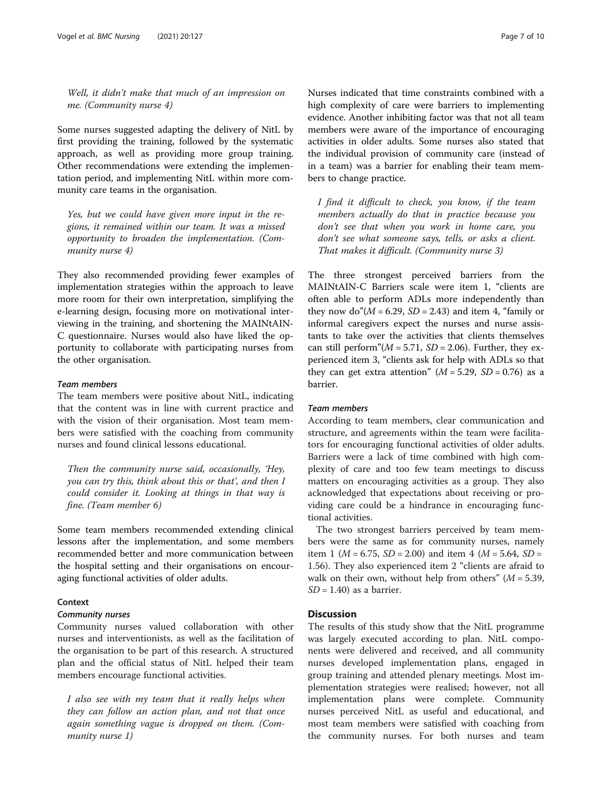Well, it didn't make that much of an impression on me. (Community nurse 4)

Some nurses suggested adapting the delivery of NitL by first providing the training, followed by the systematic approach, as well as providing more group training. Other recommendations were extending the implementation period, and implementing NitL within more community care teams in the organisation.

Yes, but we could have given more input in the regions, it remained within our team. It was a missed opportunity to broaden the implementation. (Community nurse 4)

They also recommended providing fewer examples of implementation strategies within the approach to leave more room for their own interpretation, simplifying the e-learning design, focusing more on motivational interviewing in the training, and shortening the MAINtAIN-C questionnaire. Nurses would also have liked the opportunity to collaborate with participating nurses from the other organisation.

## Team members

The team members were positive about NitL, indicating that the content was in line with current practice and with the vision of their organisation. Most team members were satisfied with the coaching from community nurses and found clinical lessons educational.

Then the community nurse said, occasionally, 'Hey, you can try this, think about this or that', and then I could consider it. Looking at things in that way is fine. (Team member 6)

Some team members recommended extending clinical lessons after the implementation, and some members recommended better and more communication between the hospital setting and their organisations on encouraging functional activities of older adults.

## **Context**

## Community nurses

Community nurses valued collaboration with other nurses and interventionists, as well as the facilitation of the organisation to be part of this research. A structured plan and the official status of NitL helped their team members encourage functional activities.

I also see with my team that it really helps when they can follow an action plan, and not that once again something vague is dropped on them. (Community nurse 1)

Nurses indicated that time constraints combined with a high complexity of care were barriers to implementing evidence. Another inhibiting factor was that not all team members were aware of the importance of encouraging activities in older adults. Some nurses also stated that the individual provision of community care (instead of in a team) was a barrier for enabling their team members to change practice.

I find it difficult to check, you know, if the team members actually do that in practice because you don't see that when you work in home care, you don't see what someone says, tells, or asks a client. That makes it difficult. (Community nurse 3)

The three strongest perceived barriers from the MAINtAIN-C Barriers scale were item 1, "clients are often able to perform ADLs more independently than they now do" $(M = 6.29, SD = 2.43)$  and item 4, "family or informal caregivers expect the nurses and nurse assistants to take over the activities that clients themselves can still perform"( $M = 5.71$ ,  $SD = 2.06$ ). Further, they experienced item 3, "clients ask for help with ADLs so that they can get extra attention"  $(M = 5.29, SD = 0.76)$  as a barrier.

## Team members

According to team members, clear communication and structure, and agreements within the team were facilitators for encouraging functional activities of older adults. Barriers were a lack of time combined with high complexity of care and too few team meetings to discuss matters on encouraging activities as a group. They also acknowledged that expectations about receiving or providing care could be a hindrance in encouraging functional activities.

The two strongest barriers perceived by team members were the same as for community nurses, namely item 1 ( $M = 6.75$ ,  $SD = 2.00$ ) and item 4 ( $M = 5.64$ ,  $SD =$ 1.56). They also experienced item 2 "clients are afraid to walk on their own, without help from others"  $(M = 5.39,$  $SD = 1.40$ ) as a barrier.

## Discussion

The results of this study show that the NitL programme was largely executed according to plan. NitL components were delivered and received, and all community nurses developed implementation plans, engaged in group training and attended plenary meetings. Most implementation strategies were realised; however, not all implementation plans were complete. Community nurses perceived NitL as useful and educational, and most team members were satisfied with coaching from the community nurses. For both nurses and team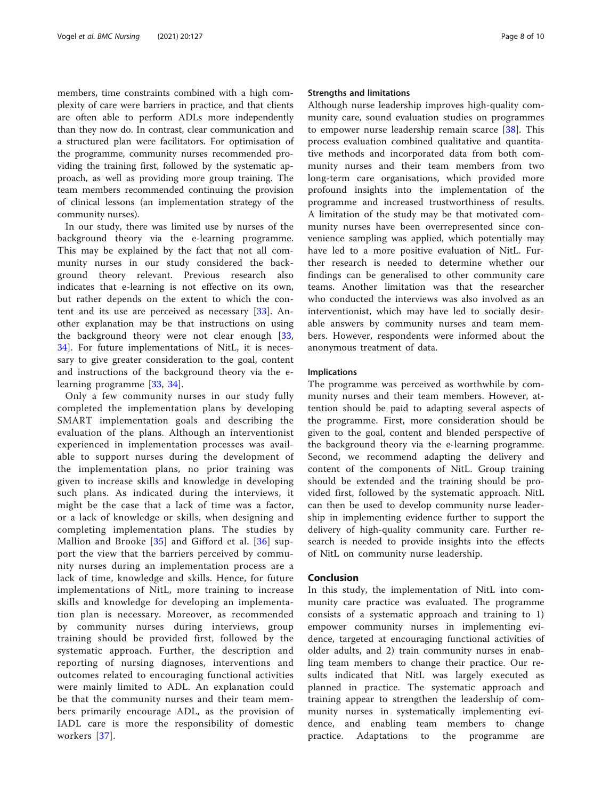members, time constraints combined with a high complexity of care were barriers in practice, and that clients are often able to perform ADLs more independently than they now do. In contrast, clear communication and a structured plan were facilitators. For optimisation of the programme, community nurses recommended providing the training first, followed by the systematic approach, as well as providing more group training. The team members recommended continuing the provision of clinical lessons (an implementation strategy of the community nurses).

In our study, there was limited use by nurses of the background theory via the e-learning programme. This may be explained by the fact that not all community nurses in our study considered the background theory relevant. Previous research also indicates that e-learning is not effective on its own, but rather depends on the extent to which the content and its use are perceived as necessary [[33](#page-9-0)]. Another explanation may be that instructions on using the background theory were not clear enough [\[33](#page-9-0), [34\]](#page-9-0). For future implementations of NitL, it is necessary to give greater consideration to the goal, content and instructions of the background theory via the elearning programme [[33,](#page-9-0) [34](#page-9-0)].

Only a few community nurses in our study fully completed the implementation plans by developing SMART implementation goals and describing the evaluation of the plans. Although an interventionist experienced in implementation processes was available to support nurses during the development of the implementation plans, no prior training was given to increase skills and knowledge in developing such plans. As indicated during the interviews, it might be the case that a lack of time was a factor, or a lack of knowledge or skills, when designing and completing implementation plans. The studies by Mallion and Brooke [[35](#page-9-0)] and Gifford et al. [[36](#page-9-0)] support the view that the barriers perceived by community nurses during an implementation process are a lack of time, knowledge and skills. Hence, for future implementations of NitL, more training to increase skills and knowledge for developing an implementation plan is necessary. Moreover, as recommended by community nurses during interviews, group training should be provided first, followed by the systematic approach. Further, the description and reporting of nursing diagnoses, interventions and outcomes related to encouraging functional activities were mainly limited to ADL. An explanation could be that the community nurses and their team members primarily encourage ADL, as the provision of IADL care is more the responsibility of domestic workers [[37\]](#page-9-0).

## Strengths and limitations

Although nurse leadership improves high-quality community care, sound evaluation studies on programmes to empower nurse leadership remain scarce  $[38]$  $[38]$ . This process evaluation combined qualitative and quantitative methods and incorporated data from both community nurses and their team members from two long-term care organisations, which provided more profound insights into the implementation of the programme and increased trustworthiness of results. A limitation of the study may be that motivated community nurses have been overrepresented since convenience sampling was applied, which potentially may have led to a more positive evaluation of NitL. Further research is needed to determine whether our findings can be generalised to other community care teams. Another limitation was that the researcher who conducted the interviews was also involved as an interventionist, which may have led to socially desirable answers by community nurses and team members. However, respondents were informed about the anonymous treatment of data.

### Implications

The programme was perceived as worthwhile by community nurses and their team members. However, attention should be paid to adapting several aspects of the programme. First, more consideration should be given to the goal, content and blended perspective of the background theory via the e-learning programme. Second, we recommend adapting the delivery and content of the components of NitL. Group training should be extended and the training should be provided first, followed by the systematic approach. NitL can then be used to develop community nurse leadership in implementing evidence further to support the delivery of high-quality community care. Further research is needed to provide insights into the effects of NitL on community nurse leadership.

## Conclusion

In this study, the implementation of NitL into community care practice was evaluated. The programme consists of a systematic approach and training to 1) empower community nurses in implementing evidence, targeted at encouraging functional activities of older adults, and 2) train community nurses in enabling team members to change their practice. Our results indicated that NitL was largely executed as planned in practice. The systematic approach and training appear to strengthen the leadership of community nurses in systematically implementing evidence, and enabling team members to change practice. Adaptations to the programme are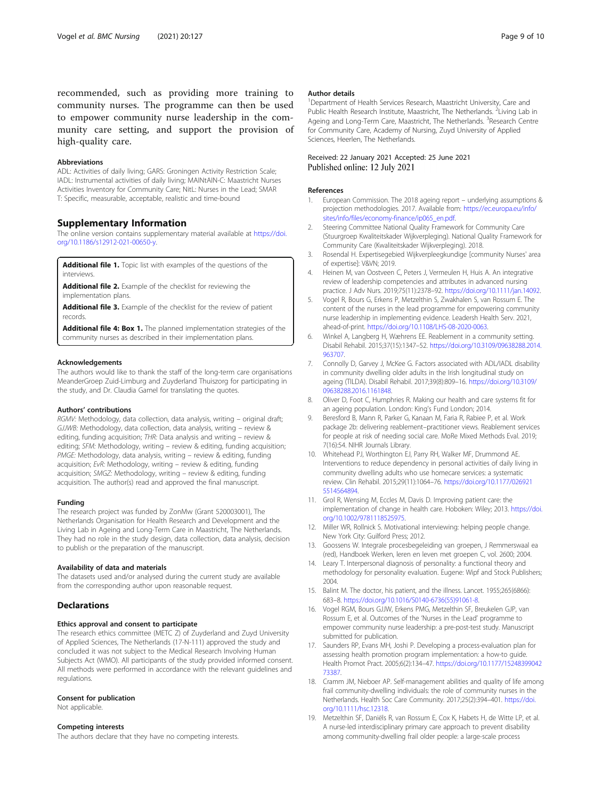<span id="page-8-0"></span>recommended, such as providing more training to community nurses. The programme can then be used to empower community nurse leadership in the community care setting, and support the provision of high-quality care.

#### Abbreviations

ADL: Activities of daily living; GARS: Groningen Activity Restriction Scale; IADL: Instrumental activities of daily living; MAINtAIN-C: Maastricht Nurses Activities Inventory for Community Care; NitL: Nurses in the Lead; SMAR T: Specific, measurable, acceptable, realistic and time-bound

## Supplementary Information

The online version contains supplementary material available at [https://doi.](https://doi.org/10.1186/s12912-021-00650-y) [org/10.1186/s12912-021-00650-y](https://doi.org/10.1186/s12912-021-00650-y).

Additional file 1. Topic list with examples of the questions of the interviews.

Additional file 2. Example of the checklist for reviewing the implementation plans.

Additional file 3. Example of the checklist for the review of patient records.

Additional file 4: Box 1. The planned implementation strategies of the community nurses as described in their implementation plans.

#### Acknowledgements

The authors would like to thank the staff of the long-term care organisations MeanderGroep Zuid-Limburg and Zuyderland Thuiszorg for participating in the study, and Dr. Claudia Gamel for translating the quotes.

#### Authors' contributions

RGMV: Methodology, data collection, data analysis, writing – original draft; GJJWB: Methodology, data collection, data analysis, writing – review & editing, funding acquisition; THR: Data analysis and writing – review & editing; SFM: Methodology, writing – review & editing, funding acquisition; PMGE: Methodology, data analysis, writing – review & editing, funding acquisition; EvR: Methodology, writing – review & editing, funding acquisition; SMGZ: Methodology, writing – review & editing, funding acquisition. The author(s) read and approved the final manuscript.

#### Funding

The research project was funded by ZonMw (Grant 520003001), The Netherlands Organisation for Health Research and Development and the Living Lab in Ageing and Long-Term Care in Maastricht, The Netherlands. They had no role in the study design, data collection, data analysis, decision to publish or the preparation of the manuscript.

#### Availability of data and materials

The datasets used and/or analysed during the current study are available from the corresponding author upon reasonable request.

## **Declarations**

### Ethics approval and consent to participate

The research ethics committee (METC Z) of Zuyderland and Zuyd University of Applied Sciences, The Netherlands (17-N-111) approved the study and concluded it was not subject to the Medical Research Involving Human Subjects Act (WMO). All participants of the study provided informed consent. All methods were performed in accordance with the relevant guidelines and regulations.

## Consent for publication

Not applicable.

## Competing interests

The authors declare that they have no competing interests.

### Author details

<sup>1</sup>Department of Health Services Research, Maastricht University, Care and Public Health Research Institute, Maastricht, The Netherlands. <sup>2</sup>Living Lab in Ageing and Long-Term Care, Maastricht, The Netherlands. <sup>3</sup>Research Centre for Community Care, Academy of Nursing, Zuyd University of Applied Sciences, Heerlen, The Netherlands.

## Received: 22 January 2021 Accepted: 25 June 2021 Published online: 12 July 2021

#### References

- 1. European Commission. The 2018 ageing report underlying assumptions & projection methodologies. 2017. Available from: [https://ec.europa.eu/info/](https://ec.europa.eu/info/sites/info/files/economy-finance/ip065_en.pdf) [sites/info/files/economy-finance/ip065\\_en.pdf](https://ec.europa.eu/info/sites/info/files/economy-finance/ip065_en.pdf).
- 2. Steering Committee National Quality Framework for Community Care (Stuurgroep Kwaliteitskader Wijkverpleging). National Quality Framework for Community Care (Kwaliteitskader Wijkverpleging). 2018.
- 3. Rosendal H. Expertisegebied Wijkverpleegkundige [community Nurses' area of expertise]: V&VN; 2019.
- 4. Heinen M, van Oostveen C, Peters J, Vermeulen H, Huis A. An integrative review of leadership competencies and attributes in advanced nursing practice. J Adv Nurs. 2019;75(11):2378–92. <https://doi.org/10.1111/jan.14092>.
- 5. Vogel R, Bours G, Erkens P, Metzelthin S, Zwakhalen S, van Rossum E. The content of the nurses in the lead programme for empowering community nurse leadership in implementing evidence. Leadersh Health Serv. 2021, ahead-of-print. <https://doi.org/10.1108/LHS-08-2020-0063>.
- 6. Winkel A, Langberg H, Wæhrens EE. Reablement in a community setting. Disabil Rehabil. 2015;37(15):1347–52. [https://doi.org/10.3109/09638288.2014.](https://doi.org/10.3109/09638288.2014.963707) [963707](https://doi.org/10.3109/09638288.2014.963707).
- 7. Connolly D, Garvey J, McKee G. Factors associated with ADL/IADL disability in community dwelling older adults in the Irish longitudinal study on ageing (TILDA). Disabil Rehabil. 2017;39(8):809–16. [https://doi.org/10.3109/](https://doi.org/10.3109/09638288.2016.1161848) [09638288.2016.1161848.](https://doi.org/10.3109/09638288.2016.1161848)
- 8. Oliver D, Foot C, Humphries R. Making our health and care systems fit for an ageing population. London: King's Fund London; 2014.
- 9. Beresford B, Mann R, Parker G, Kanaan M, Faria R, Rabiee P, et al. Work package 2b: delivering reablement–practitioner views. Reablement services for people at risk of needing social care. MoRe Mixed Methods Eval. 2019; 7(16):54. NIHR Journals Library.
- 10. Whitehead PJ, Worthington EJ, Parry RH, Walker MF, Drummond AE. Interventions to reduce dependency in personal activities of daily living in community dwelling adults who use homecare services: a systematic review. Clin Rehabil. 2015;29(11):1064–76. [https://doi.org/10.1177/026921](https://doi.org/10.1177/0269215514564894) [5514564894.](https://doi.org/10.1177/0269215514564894)
- 11. Grol R, Wensing M, Eccles M, Davis D. Improving patient care: the implementation of change in health care. Hoboken: Wiley; 2013. [https://doi.](https://doi.org/10.1002/9781118525975) [org/10.1002/9781118525975](https://doi.org/10.1002/9781118525975).
- 12. Miller WR, Rollnick S. Motivational interviewing: helping people change. New York City: Guilford Press; 2012.
- 13. Goossens W. Integrale procesbegeleiding van groepen, J Remmerswaal ea (red), Handboek Werken, leren en leven met groepen C, vol. 2600; 2004.
- 14. Leary T. Interpersonal diagnosis of personality: a functional theory and methodology for personality evaluation. Eugene: Wipf and Stock Publishers; 2004.
- 15. Balint M. The doctor, his patient, and the illness. Lancet. 1955;265(6866): 683–8. [https://doi.org/10.1016/S0140-6736\(55\)91061-8](https://doi.org/10.1016/S0140-6736(55)91061-8).
- 16. Vogel RGM, Bours GJJW, Erkens PMG, Metzelthin SF, Breukelen GJP, van Rossum E, et al. Outcomes of the 'Nurses in the Lead' programme to empower community nurse leadership: a pre-post-test study. Manuscript submitted for publication.
- 17. Saunders RP, Evans MH, Joshi P. Developing a process-evaluation plan for assessing health promotion program implementation: a how-to guide. Health Promot Pract. 2005;6(2):134–47. [https://doi.org/10.1177/15248399042](https://doi.org/10.1177/1524839904273387) [73387.](https://doi.org/10.1177/1524839904273387)
- 18. Cramm JM, Nieboer AP. Self-management abilities and quality of life among frail community-dwelling individuals: the role of community nurses in the Netherlands. Health Soc Care Community. 2017;25(2):394–401. [https://doi.](https://doi.org/10.1111/hsc.12318) [org/10.1111/hsc.12318.](https://doi.org/10.1111/hsc.12318)
- 19. Metzelthin SF, Daniëls R, van Rossum E, Cox K, Habets H, de Witte LP, et al. A nurse-led interdisciplinary primary care approach to prevent disability among community-dwelling frail older people: a large-scale process